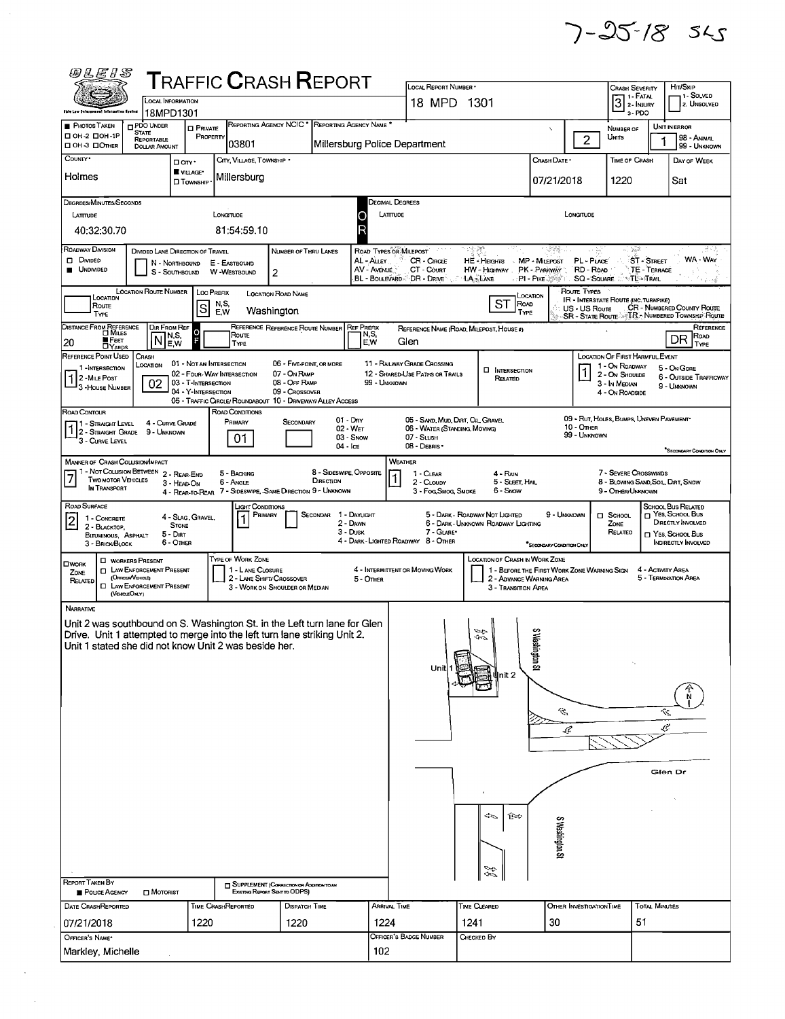$7 - 25 - 18$  sks

| <b>@LEIS</b>                                                                                                                                           |                                                                                           |                                            | <b>TRAFFIC CRASH REPORT</b>                                                             |                                                                           |                                       |                                   |                                                                                                                                                                             |                                                                       |                                                                         |                                 |                                              |                          |                                                                               |  |  |
|--------------------------------------------------------------------------------------------------------------------------------------------------------|-------------------------------------------------------------------------------------------|--------------------------------------------|-----------------------------------------------------------------------------------------|---------------------------------------------------------------------------|---------------------------------------|-----------------------------------|-----------------------------------------------------------------------------------------------------------------------------------------------------------------------------|-----------------------------------------------------------------------|-------------------------------------------------------------------------|---------------------------------|----------------------------------------------|--------------------------|-------------------------------------------------------------------------------|--|--|
|                                                                                                                                                        | <b>LOCAL INFORMATION</b>                                                                  |                                            |                                                                                         |                                                                           | LOCAL REPORT NUMBER .<br>18 MPD 1301  |                                   | Crash Severity<br>$3$ :- FATAL                                                                                                                                              |                                                                       | HIT/SKIP<br>1 - Solved<br>2. UNSOLVED                                   |                                 |                                              |                          |                                                                               |  |  |
| <b>Chie Law Enterspensed Information System</b>                                                                                                        | 18MPD1301                                                                                 |                                            |                                                                                         |                                                                           |                                       |                                   |                                                                                                                                                                             |                                                                       | 3-PDO                                                                   |                                 |                                              |                          |                                                                               |  |  |
| <b>PHOTOS TAKEN</b><br>□ 0Н-2 □ 0Н-1Р                                                                                                                  | <b>DPDO UNDER</b><br><b>STATE</b><br>REPORTABLE                                           | <b>D</b> PRIVATE<br>PROPERTY               | 03801                                                                                   | REPORTING AGENCY NCIC <sup>*</sup>                                        | REPORTING AGENCY NAME                 |                                   | Millersburg Police Department                                                                                                                                               |                                                                       | x                                                                       | $\overline{2}$                  | NUMBER OF<br>Units                           |                          | UNIT IN ERROR<br>98 - ANIMAL                                                  |  |  |
| □ OH-3 □ OTHER<br>COUNTY <sup>.</sup>                                                                                                                  | <b>DOLLAR AMOUNT</b>                                                                      | □ any·                                     | CITY, VILLAGE, TOWNSHIP                                                                 |                                                                           |                                       |                                   |                                                                                                                                                                             |                                                                       | Crash Date *                                                            |                                 | <b>TIME OF CRASH</b>                         |                          | 99 - UNKNOWN<br>DAY OF WEEK                                                   |  |  |
| Holmes                                                                                                                                                 |                                                                                           | VILLAGE*<br><b>I</b> Township              | Millersburg                                                                             |                                                                           |                                       |                                   |                                                                                                                                                                             |                                                                       | 07/21/2018                                                              |                                 | 1220                                         |                          | Sat                                                                           |  |  |
| DEGREES/MINUTES/SECONDS                                                                                                                                |                                                                                           |                                            |                                                                                         |                                                                           |                                       |                                   | Decimal Degrees                                                                                                                                                             |                                                                       |                                                                         |                                 |                                              |                          |                                                                               |  |  |
| LATTUDE                                                                                                                                                |                                                                                           |                                            | LONGITUDE                                                                               |                                                                           |                                       | LATTUDE<br>O                      |                                                                                                                                                                             |                                                                       |                                                                         | LONGITUDE                       |                                              |                          |                                                                               |  |  |
| 40:32:30.70                                                                                                                                            |                                                                                           |                                            | 81:54:59.10                                                                             |                                                                           |                                       |                                   |                                                                                                                                                                             |                                                                       |                                                                         |                                 |                                              |                          |                                                                               |  |  |
| ROADWAY DIVISION<br>D DIVIDED                                                                                                                          | DIVIDED LANE DIRECTION OF TRAVEL                                                          |                                            |                                                                                         | NUMBER OF THRU LANES                                                      | ROAD TYPES OR MILEPOST<br>CR - CIRCLE | - 13 20<br>HE-HEIGHTS MP-MILEPOST | - 1922 - J                                                                                                                                                                  | 나눈<br>PL - PLACE                                                      | n , Ser                                                                 | <b>ST - STREET</b>              | ರ್ ಸಿ<br>WA - WAY                            |                          |                                                                               |  |  |
| <b>UNDIVIDED</b>                                                                                                                                       |                                                                                           | N - NORTHBOUND<br>S - SOUTHBOUND           | E - EASTBOUND<br>W -WESTBOUND                                                           | $\overline{2}$                                                            |                                       | AL - ALLEY<br>AV - AVENUE         | CT - COURT<br>BL - BOULEVARD - DR - DRIVE                                                                                                                                   | HW - HIGHWAY.<br>LA - LANE                                            | <b>PK-PARKWAY</b><br>$\mathsf{P}$ l - Pike                              | RD - Road<br><b>SQ - SQUARE</b> |                                              | TE - TERRACE<br>∾TL≔Tna∟ |                                                                               |  |  |
| Location                                                                                                                                               | <b>LOCATION ROUTE NUMBER</b>                                                              | LOC PREFIX                                 |                                                                                         | LOCATION ROAD NAME                                                        |                                       |                                   |                                                                                                                                                                             |                                                                       | LOCATION                                                                | ROUTE TYPES                     | <b>IR - INTERSTATE ROUTE (INC. TURNPIKE)</b> |                          |                                                                               |  |  |
| Route<br>TYPE                                                                                                                                          |                                                                                           | S                                          | N,S,<br>E, W                                                                            | Washington                                                                |                                       |                                   |                                                                                                                                                                             | ST                                                                    | ROAD<br>TYPE                                                            | US - US Route                   |                                              |                          | CR - NUMBERED COUNTY ROUTE<br>SR - STATE ROUTE : TR - NUMBERED TOWNSHIP ROUTE |  |  |
| <b>DISTANCE FROM REFERENCE</b><br>⊡ Mru≘s                                                                                                              | DIR FROM REF<br>IN S.                                                                     | $\frac{0}{F}$                              | Route                                                                                   | REFERENCE REFERENCE ROUTE NUMBER REF PREFIX                               |                                       | N,S,                              |                                                                                                                                                                             | REFERENCE NAME (ROAD, MILEPOST, HOUSE #)                              |                                                                         |                                 |                                              |                          | REFERENCE<br>ROAD                                                             |  |  |
| ∎ Ғєєт<br> 20<br><b>DYARDS</b><br>REFERENCE POINT USED                                                                                                 | ΙN<br>CRASH                                                                               | E,W                                        | TYPE                                                                                    |                                                                           |                                       | E.W                               | Glen                                                                                                                                                                        |                                                                       |                                                                         |                                 | LOCATION OF FIRST HARMFUL EVENT              |                          | DR<br>TYPE                                                                    |  |  |
| 1-INTERSECTION                                                                                                                                         | LOCATION                                                                                  | 01 - Not an Intersection                   | 02 - Four-Way Intersection                                                              | 06 - FIVE-POINT, OR MORE<br>07 - On RAMP                                  |                                       |                                   | 11 - RAILWAY GRADE CROSSING<br>12 - SHARED USE PATHS OR TRAILS                                                                                                              | <b>INTERSECTION</b>                                                   |                                                                         |                                 | 1 - On ROADWAY<br>2 - On Shoulde             |                          | 5 - On Gore<br><b>6 - OUTSIDE TRAFFICWAY</b>                                  |  |  |
| 1 2-MILE POST<br>3 - HOUSE NUMBER                                                                                                                      | 02                                                                                        | 03 - T-INTERSECTION<br>04 - Y-INTERSECTION |                                                                                         | 08 - OFF RAMP<br>09 - Crossover                                           |                                       | 99 - UNKNOWN                      |                                                                                                                                                                             | RELATED                                                               |                                                                         |                                 | 3 - In Median<br>4 - ON ROADSIDE             |                          | 9 - UNKNOWN                                                                   |  |  |
| ROAD CONTOUR                                                                                                                                           |                                                                                           |                                            | 05 - TRAFFIC CIRCLE/ ROUNDABOUT 10 - DRIVEWAY/ ALLEY ACCESS<br>ROAD CONDITIONS          |                                                                           |                                       |                                   |                                                                                                                                                                             |                                                                       |                                                                         |                                 |                                              |                          |                                                                               |  |  |
| 11 - STRAIGHT LEVEL<br>1 2 - STRAIGHT GRADE                                                                                                            | 4 - CURVE GRADE<br>9 - Unknown                                                            |                                            | PRIMARY                                                                                 | SECONDARY                                                                 | $01 - \text{Day}$<br>$02 - Wer$       |                                   | 05 - SAND, MUD, DIRT, OIL GRAVEL<br>06 - WATER (STANDING, MOVING)                                                                                                           |                                                                       |                                                                         | 10 - Отнев                      | 09 - RUT, HOLES, BUMPS, UNEVEN PAVEMENT      |                          |                                                                               |  |  |
| 3 - CURVE LEVEL                                                                                                                                        |                                                                                           |                                            | 01                                                                                      |                                                                           | 03 - Snow<br>04 - Ice                 |                                   | 07 - SLUSH<br>08 - DEBRIS *                                                                                                                                                 |                                                                       |                                                                         | 99 - UNKNOWN                    |                                              |                          | "SECONDARY CONDITION ONLY                                                     |  |  |
| MANNER OF CRASH COLUSION/IMPACT<br>1 - Not Collision Between 2 - Rear-End                                                                              |                                                                                           |                                            |                                                                                         |                                                                           | 8 - SIDESWIPE, OPPOSITE               |                                   | WEATHER                                                                                                                                                                     |                                                                       |                                                                         |                                 |                                              |                          |                                                                               |  |  |
| TWO MOTOR VEHICLES<br>IN TRANSPORT                                                                                                                     |                                                                                           | 3 - HEAD-ON                                | 5 - BACKING<br>6 - Angle<br>4 - REAR-TO-REAR 7 - SIDESWIPE, -SAME DIRECTION 9 - UNKNOWN |                                                                           | DIRECTION                             |                                   | 7 - SEVERE CROSSWINDS<br>1 - CLEAR<br>4 - RAIN<br>5 - SLEET HAL<br>8 - BLOWING SAND SOLL, DIRT, SNOW<br>2 - CLOUDY<br>6 - Snow<br>3 - Fog, Smog, Smoke<br>9 - OTHER/UNKNOWN |                                                                       |                                                                         |                                 |                                              |                          |                                                                               |  |  |
| ROAD SURFACE                                                                                                                                           |                                                                                           |                                            | LIGHT CONDITIONS                                                                        |                                                                           |                                       |                                   |                                                                                                                                                                             |                                                                       |                                                                         |                                 |                                              |                          | SCHOOL BUS RELATED                                                            |  |  |
| 1 - CONCRETE<br>2 - BLACKTOP.                                                                                                                          |                                                                                           | 4 - SLAG, GRAVEL,<br><b>STONE</b>          |                                                                                         | Primary                                                                   | SECONDAR 1 - DAYLIGHT<br>2 - DAWN     |                                   |                                                                                                                                                                             | 5 - DARK - ROADWAY NOT LIGHTED<br>6 - DARK - UNKNOWN ROADWAY LIGHTING | 9 - UNKNOWN                                                             |                                 | C SCHOOL<br>ZONE                             |                          | NES, SCHOOL BUS<br>DIRECTLY INVOLVED                                          |  |  |
| BITUMINOUS, ASPHALT<br>3 - BRICK BLOCK                                                                                                                 |                                                                                           | $5 - D$<br>6 - OTHER                       |                                                                                         |                                                                           | 3 - Dusk                              |                                   | 7 - GLARE*<br>RELATED<br>T YES SCHOOL BUS<br>4 - DARK - LIGHTED ROADWAY 8 - OTHER<br>INDIRECTLY INVOLVED<br>SECONDARY CONDITION ONLY                                        |                                                                       |                                                                         |                                 |                                              |                          |                                                                               |  |  |
| <b>OWORK</b>                                                                                                                                           | <b>U</b> WORKERS PRESENT                                                                  |                                            | TYPE OF WORK ZONE                                                                       |                                                                           |                                       |                                   |                                                                                                                                                                             | LOCATION OF CRASH IN WORK ZONE                                        |                                                                         |                                 |                                              |                          |                                                                               |  |  |
| ZONE<br>RELATED                                                                                                                                        | <b>C LAW ENFORCEMENT PRESENT</b><br>(OFFICER/VEHICLE)<br><b>D</b> LAW ENFORCEMENT PRESENT |                                            | 1 - LANE CLOSURE                                                                        | 2 - LANE SHIFT/ CROSSOVER                                                 |                                       | 5 - Omer                          | 4 - INTERMITTENT OR MOVING WORK                                                                                                                                             |                                                                       | 1 - BEFORE THE FIRST WORK ZONE WARNING SIGN<br>2 - ADVANCE WARNING AREA |                                 |                                              |                          | 4 - ACTIVITY AREA<br>5 - TERMINATION AREA                                     |  |  |
|                                                                                                                                                        | (VENCLEONLY)                                                                              |                                            |                                                                                         | 3 - WORK ON SHOULDER OR MEDIAN                                            |                                       |                                   |                                                                                                                                                                             |                                                                       | 3 - Transition Area                                                     |                                 |                                              |                          |                                                                               |  |  |
| NARRATIVE                                                                                                                                              |                                                                                           |                                            |                                                                                         |                                                                           |                                       |                                   |                                                                                                                                                                             |                                                                       |                                                                         |                                 |                                              |                          |                                                                               |  |  |
| Unit 2 was southbound on S. Washington St, in the Left turn lane for Glen<br>Drive. Unit 1 attempted to merge into the left turn lane striking Unit 2. |                                                                                           |                                            |                                                                                         |                                                                           |                                       |                                   |                                                                                                                                                                             | $\frac{\partial}{\partial \phi}$                                      | s<br>훖<br>eshington St                                                  |                                 |                                              |                          |                                                                               |  |  |
| Unit 1 stated she did not know Unit 2 was beside her.                                                                                                  |                                                                                           |                                            |                                                                                         |                                                                           |                                       |                                   |                                                                                                                                                                             |                                                                       |                                                                         |                                 |                                              |                          |                                                                               |  |  |
|                                                                                                                                                        |                                                                                           |                                            |                                                                                         |                                                                           |                                       |                                   | Unit                                                                                                                                                                        | nit 2                                                                 |                                                                         |                                 |                                              |                          |                                                                               |  |  |
|                                                                                                                                                        |                                                                                           |                                            |                                                                                         |                                                                           |                                       |                                   |                                                                                                                                                                             |                                                                       |                                                                         |                                 |                                              |                          |                                                                               |  |  |
|                                                                                                                                                        |                                                                                           |                                            |                                                                                         |                                                                           |                                       |                                   |                                                                                                                                                                             |                                                                       | Û,                                                                      |                                 |                                              |                          | Û,                                                                            |  |  |
|                                                                                                                                                        |                                                                                           |                                            |                                                                                         |                                                                           |                                       |                                   |                                                                                                                                                                             |                                                                       | Ŀ                                                                       |                                 |                                              |                          | Ç                                                                             |  |  |
|                                                                                                                                                        |                                                                                           |                                            |                                                                                         |                                                                           |                                       |                                   |                                                                                                                                                                             |                                                                       |                                                                         |                                 |                                              |                          |                                                                               |  |  |
|                                                                                                                                                        |                                                                                           |                                            |                                                                                         |                                                                           |                                       |                                   |                                                                                                                                                                             |                                                                       |                                                                         |                                 |                                              |                          |                                                                               |  |  |
|                                                                                                                                                        |                                                                                           |                                            |                                                                                         |                                                                           |                                       |                                   |                                                                                                                                                                             |                                                                       |                                                                         |                                 |                                              |                          | Glen Dr                                                                       |  |  |
|                                                                                                                                                        |                                                                                           |                                            |                                                                                         |                                                                           |                                       |                                   |                                                                                                                                                                             |                                                                       |                                                                         |                                 |                                              |                          |                                                                               |  |  |
|                                                                                                                                                        |                                                                                           |                                            |                                                                                         |                                                                           |                                       |                                   |                                                                                                                                                                             |                                                                       |                                                                         |                                 |                                              |                          |                                                                               |  |  |
|                                                                                                                                                        |                                                                                           |                                            |                                                                                         |                                                                           |                                       | S neshington S                    |                                                                                                                                                                             |                                                                       |                                                                         |                                 |                                              |                          |                                                                               |  |  |
|                                                                                                                                                        |                                                                                           |                                            |                                                                                         |                                                                           |                                       |                                   |                                                                                                                                                                             |                                                                       |                                                                         |                                 |                                              |                          |                                                                               |  |  |
| <b>REPORT TAKEN BY</b>                                                                                                                                 |                                                                                           |                                            |                                                                                         |                                                                           |                                       |                                   |                                                                                                                                                                             | 92.<br>Sep                                                            |                                                                         |                                 |                                              |                          |                                                                               |  |  |
| POLICE AGENCY                                                                                                                                          | $\square$ Motorist                                                                        |                                            |                                                                                         | SUPPLEMENT (CORRECTION OR ADDITION TO AN<br>Existing Report Sent to ODPS) |                                       |                                   |                                                                                                                                                                             |                                                                       |                                                                         |                                 |                                              |                          |                                                                               |  |  |
| DATE CRASHREPORTED                                                                                                                                     |                                                                                           |                                            | TIME CRASHREPORTED                                                                      | DISPATCH TIME                                                             |                                       | ARRIVAL TIME                      |                                                                                                                                                                             | TIME CLEARED                                                          |                                                                         | OTHER INVESTIGATION TIME        |                                              | <b>TOTAL MINUTES</b>     |                                                                               |  |  |
| 07/21/2018<br>OFFICER'S NAME*                                                                                                                          |                                                                                           | 1220                                       |                                                                                         | 1220                                                                      |                                       | 1224                              | OFFICER'S BADGE NUMBER                                                                                                                                                      | 1241<br>CHECKED BY                                                    | 30                                                                      |                                 | 51                                           |                          |                                                                               |  |  |
| Markley, Michelle                                                                                                                                      |                                                                                           |                                            |                                                                                         |                                                                           |                                       | 102                               |                                                                                                                                                                             |                                                                       |                                                                         |                                 |                                              |                          |                                                                               |  |  |
|                                                                                                                                                        |                                                                                           |                                            |                                                                                         |                                                                           |                                       |                                   |                                                                                                                                                                             |                                                                       |                                                                         |                                 |                                              |                          |                                                                               |  |  |

 $\Delta \sim 1$ 

 $\frac{1}{2}$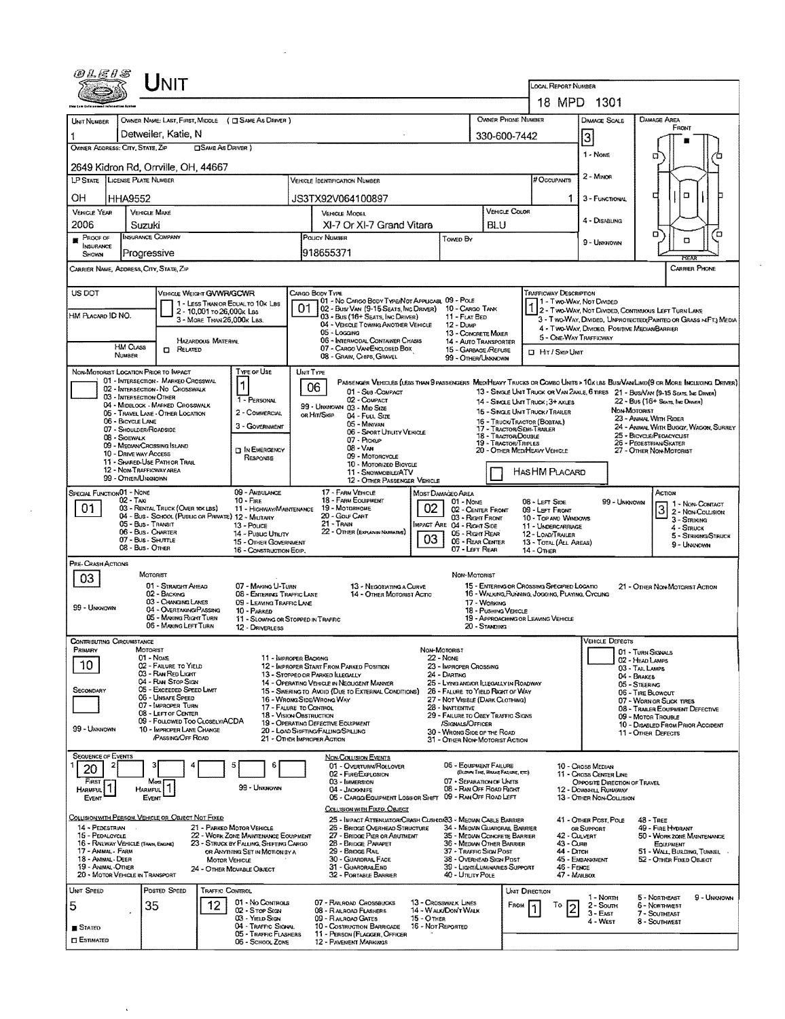| UNIT                                                                            |                                                                          |                                                                                                                                     | LOCAL REPORT NUMBER<br>18 MPD 1301                                                    |                                                              |                                                           |                                                                                                                 |                                                                                                                               |  |  |  |
|---------------------------------------------------------------------------------|--------------------------------------------------------------------------|-------------------------------------------------------------------------------------------------------------------------------------|---------------------------------------------------------------------------------------|--------------------------------------------------------------|-----------------------------------------------------------|-----------------------------------------------------------------------------------------------------------------|-------------------------------------------------------------------------------------------------------------------------------|--|--|--|
|                                                                                 |                                                                          |                                                                                                                                     |                                                                                       | <b>OWNER PHONE NUMBER</b>                                    |                                                           |                                                                                                                 | <b>DAMAGE AREA</b>                                                                                                            |  |  |  |
| UNIT NUMBER<br>Detweiler, Katie, N                                              | OWNER NAME: LAST, FIRST, MIDDLE ( C SAME AS DRIVER )                     |                                                                                                                                     |                                                                                       |                                                              | Damage Scale<br>FRONT<br>330-600-7442                     |                                                                                                                 |                                                                                                                               |  |  |  |
| OWNER ADDRESS: CITY, STATE, ZIP                                                 | <b>CISAME AS DRIVER</b> )                                                |                                                                                                                                     |                                                                                       |                                                              |                                                           | 3<br>1 - Nove                                                                                                   |                                                                                                                               |  |  |  |
| 2649 Kidron Rd, Orrville, OH, 44667                                             |                                                                          |                                                                                                                                     |                                                                                       |                                                              |                                                           |                                                                                                                 | α                                                                                                                             |  |  |  |
| <b>LICENSE PLATE NUMBER</b><br>LP STATE                                         |                                                                          | VEHICLE IDENTIFICATION NUMBER                                                                                                       |                                                                                       |                                                              | <b># Occupants</b>                                        | $2 -$ Minor                                                                                                     |                                                                                                                               |  |  |  |
| OH<br>HHA9552                                                                   |                                                                          | JS3TX92V064100897                                                                                                                   |                                                                                       | 1.                                                           | 3 - FUNCTIONAL                                            | α                                                                                                               |                                                                                                                               |  |  |  |
| <b>VEHICLE YEAR</b><br><b>VEHICLE MAKE</b><br>2006<br>Suzuki                    |                                                                          | <b>VEHICLE MODEL</b><br>XI-7 Or XI-7 Grand Vitara                                                                                   |                                                                                       | <b>VEHICLE COLOR</b><br><b>BLU</b>                           |                                                           | 4 - DISABLING                                                                                                   |                                                                                                                               |  |  |  |
| INSURANCE COMPANY<br>PROCF OF                                                   |                                                                          | POUCY NUMBER                                                                                                                        | Toweo By                                                                              |                                                              |                                                           | 9 - UNKNOWN                                                                                                     | ۵<br>้อ<br>о                                                                                                                  |  |  |  |
| <b>INSURANCE</b><br>Progressive<br>SHOWN                                        |                                                                          | 918655371                                                                                                                           |                                                                                       |                                                              |                                                           |                                                                                                                 | REM                                                                                                                           |  |  |  |
| Carrier Name, Address, City, State, Zip                                         |                                                                          |                                                                                                                                     |                                                                                       |                                                              |                                                           |                                                                                                                 | <b>CARRIER PHONE</b>                                                                                                          |  |  |  |
| US DOT                                                                          | VEHICLE WEIGHT GVWR/GCWR                                                 | CARGO BODY TYPE                                                                                                                     |                                                                                       |                                                              | TRAFFICWAY DESCRIPTION                                    |                                                                                                                 |                                                                                                                               |  |  |  |
| HM PLACARD ID NO.                                                               | 1 - LESS THAN OR EQUAL TO 10K LBS<br>2 - 10,001 To 26,000K LBS           | 01 - No CARGO BODY TYPE/NOT APPLICABL 09 - POLE<br>01<br>02 - Bus/ Van (9-15 Seats, Inc Driver)<br>03 - Bus (16+ Seats, Inc Driver) | 10 - CARGO TANK<br>11 - FLAT BED                                                      |                                                              | 11 - Two-Way, Not Divided                                 |                                                                                                                 | 2 - Two-Way, Not Divided, Continuous Left Turn Lane                                                                           |  |  |  |
|                                                                                 | 3 - MORE THAN 26,000K LBS.                                               | 04 - VEHICLE TOWING ANOTHER VEHICLE<br>05 - Locaina                                                                                 | 12 - Dump<br>13 - CONCRETE MIXER                                                      |                                                              |                                                           | 3 - Two-Way, Divided, Unprotected(Painteo or Grass >4FT.) Media<br>4 - TWO-WAY, DIVIDEO, POSITIVE MEDIANBARRIER |                                                                                                                               |  |  |  |
| HM CLASS<br><b>CI RELATED</b>                                                   | <b>HAZARDOUS MATERIAL</b>                                                | 06 - INTERMODAL CONTAINER CHASIS<br>07 - CARGO VAN/ENCLOSED BOX                                                                     | 14 - AUTO TRANSPORTER<br>15 - GARBAGE /REFUSE                                         |                                                              | <b>I</b> Hit / Skip Unit                                  | 5 - ONE-WAY TRAFFICWAY                                                                                          |                                                                                                                               |  |  |  |
| <b>NUMBER</b><br>NON-MOTORIST LOCATION PRIOR TO IMPACT                          | Type or Use                                                              | 08 - GRAIN, CHIPS, GRAVEL                                                                                                           | 99 - OTHER/UNKNOWN                                                                    |                                                              |                                                           |                                                                                                                 |                                                                                                                               |  |  |  |
| 01 - INTERSECTION - MARKED CROSSWAL<br>02 - INTERSECTION NO CROSSWALK           | 1                                                                        | UNIT TYPE<br>06                                                                                                                     |                                                                                       |                                                              |                                                           |                                                                                                                 | PASSENGER VEHICLES (LESS THAN 9 PASSENGERS MEDIMEANY TRUCKS OR COMBO UNITS > 10x UBS BUS/VAN/LIMO(9 OR MORE INCLUDING DRIVER) |  |  |  |
| 03 - INTERSECTION OTHER<br>04 - MIDBLOCK - MARKED CROSSWALK                     | 1 - PERSONAL                                                             | 01 - Sus - COMPACT<br>02 - COMPACT<br>99 - UNKNOWN 03 - MID SIZE                                                                    |                                                                                       |                                                              | 14 - SINGLE UNIT TRUCK: 3+ AXLES                          |                                                                                                                 | 13 - SINGLE UNIT TRUCK OR VAN ZAXLE, 6 TIRES 21 - BUS/VAN (9-15 SEATS, INC DRIVER)<br>22 - Bus (16+ Sears, the Drever)        |  |  |  |
| 05 - TRAVEL LANE - OTHER LOCATION<br>06 - BICYCLE LANE                          | 2 - COMMERCIAL                                                           | OR HIT/SKIP<br>04 - Fuu, Size<br>05 - Minivan                                                                                       |                                                                                       | 16 - TRUCK/TRACTOR (BOBTAIL)                                 | 15 - SINGLE UNIT TRUCK/TRAILER                            | NON-MOTORIST                                                                                                    | 23 - Animal With Rider                                                                                                        |  |  |  |
| 07 - Shoulder/Roadside<br>08 - SIOEWALK                                         | 3 - GOVERNMENT                                                           | 06 - SPORT UTILITY VEHICLE<br>07 - Pickup                                                                                           |                                                                                       | 17 - TRACTOR/SEMI-TRAILER<br>18 - TRACTOR/DOUBLE             |                                                           |                                                                                                                 | 24 - ANIMAL WITH BUGGY, WAGON, SURREY<br>25 - BICYCLE/PEDACYCLIST                                                             |  |  |  |
| 09 - MEDIAN CROSSING ISLAND<br>10 - Druve way Access                            | <b>DIN EMERGENCY</b><br>RESPONSE                                         | $08 - VAM$<br>09 - MOTORCYCLE                                                                                                       |                                                                                       | 19 - TRACTOR/TRIPLES                                         | 20 - OTHER MEDIHEAVY VEHICLE                              |                                                                                                                 | 26 - Pedestrian/Skater<br>27 - OTHER NON-MOTORIST                                                                             |  |  |  |
| 11 - SHARED USE PATH OR TRAIL<br>12 - NON-TRAFFICWAY AREA<br>99 - Other/Unknown |                                                                          | 10 - MOTORIZED BICYCLE<br>11 - SNOWMOBILE/ATV                                                                                       |                                                                                       |                                                              | HAS HM PLACARD                                            |                                                                                                                 |                                                                                                                               |  |  |  |
| SPECIAL FUNCTION <sub>01</sub> - NONE                                           | 09 - AMBULANCE                                                           | 12 - OTHER PASSENGER VEHICLE<br>17 - FARM VEHICLE                                                                                   | MOST DAMAGEO AREA                                                                     |                                                              |                                                           |                                                                                                                 | Астюн                                                                                                                         |  |  |  |
| 02 - TAXI<br>01<br>03 - RENTAL TRUCK (OVER 10K LBS)                             | $10 -$ FIRE<br>11 - HIGHWAY/MAINTENANCE                                  | 18 - FARM EQUIPMENT<br>19 - Мотояноме                                                                                               | $01 - None$<br>02<br>02 - CENTER FRONT                                                |                                                              | 08 - LEFT SIDE<br>09 LEFT FRONT                           | 99 - Unknown                                                                                                    | 1 1 - Non-Contact<br>2 - NON-COLLISION                                                                                        |  |  |  |
| 05 - Bus - Transit<br>06 - Bus - Charter                                        | 04 - Bus - SCHOOL (PUBLIC OR PRIVATE) 12 - MILITARY<br>13 - Pouce        | 20 - GOLF CART<br>$21 -$ Train<br>22 - OTHER (EXPLANIN NARRATIVE)                                                                   | 03 - Right Front<br>IMPACT ARE 04 - RIGHT SIDE                                        |                                                              | 10 - TOP AND WINDOWS<br>11 - UNDERCARRIAGE                |                                                                                                                 | $3 -$ Striking<br>$4 -$ Struck                                                                                                |  |  |  |
| 07 - Bus - SHUTTLE<br>08 - Bus - OTHER                                          | 14 - Pusuc Unury<br>15 - Other Government<br>16 - CONSTRUCTION EOIP,     |                                                                                                                                     | 05 - Right Rear<br>03<br>06 - REAR CENTER<br>07 - Left Rear                           |                                                              | 12 - LOAD/TRAILER<br>13 - TOTAL (ALL AREAS)<br>14 - Отнев |                                                                                                                 | 5 - STRIKING/STRUCK<br>9 - Unknown                                                                                            |  |  |  |
| PRE-CRASH ACTIONS                                                               |                                                                          |                                                                                                                                     |                                                                                       |                                                              |                                                           |                                                                                                                 |                                                                                                                               |  |  |  |
| MOTORIST<br>03<br>01 - STRAIGHT AMEAD                                           | 07 - MAKING U-TURN                                                       | 13 - NEGOTIATING A CURVE                                                                                                            | NON-MOTORIST                                                                          |                                                              | 15 - ENTERING OR CROSSING SPECIFIED LOCATIO               |                                                                                                                 | 21 - OTHER NON-MOTORIST ACTION                                                                                                |  |  |  |
| 02 - BACKING<br>03 - CHANGING LANES                                             | 08 - ENTERING TRAFFIC LANE<br>09 - LEAVING TRAFFIC LANE                  | 14 - OTHER MOTORIST ACTIO                                                                                                           |                                                                                       | 17 WORKING                                                   | 16 - WALKING RUNNING, JOGGING, PLAYING, CYCLING           |                                                                                                                 |                                                                                                                               |  |  |  |
| 99 - Unknown<br>04 - OVERTAKING PASSING<br>05 - MAXING RIGHT TURN               | 10 - PARKED<br>11 - SLOWING OR STOPPED IN TRAFFIC                        |                                                                                                                                     |                                                                                       | 18 - PUSHING VEHICLE                                         | 19 - APPROACHING OR LEAVING VEHICLE                       |                                                                                                                 |                                                                                                                               |  |  |  |
| 06 - MAKING LEFT TURN<br>Contributing Circumstance                              | 12 - DRIVERLESS                                                          |                                                                                                                                     |                                                                                       | 20 - Standing                                                |                                                           | <b>VEHICLE DEFECTS</b>                                                                                          |                                                                                                                               |  |  |  |
| PRIMARY<br>MOTORIST<br>01 - Nove                                                | 11 - IMPROPER BACKING                                                    |                                                                                                                                     | NON-MOTORIST<br>22 - None                                                             |                                                              |                                                           |                                                                                                                 | 01 - TURN SIGNALS<br>02 - HEAD LAMPS                                                                                          |  |  |  |
| 10<br>02 - FAILURE TO YIELD<br>03 - RAN RED LIGHT                               |                                                                          | 12 - IMPROPER START FROM PARKED POSITION<br>13 - Stopped or Parked Illegally                                                        | 23 - IMPROPER CROSSING<br>24 - DARTING                                                |                                                              |                                                           |                                                                                                                 | 03 - TAIL LAMPS<br>04 - BRAKES                                                                                                |  |  |  |
| 04 - RAN STOP SIGN<br>05 - Exceeded Speed Limit<br>SECONDARY                    |                                                                          | 14 - Operating Vehicle in Negligent Manner<br>15 - Swering to Avoid (Due to External Conditions)                                    | 25 - LYING ANDJOR ILLEGALLY IN ROADWAY<br>26 - FALURE TO YIELD RIGHT OF WAY           |                                                              |                                                           |                                                                                                                 | 05 - STEERING<br>06 - TIRE BLOWOUT                                                                                            |  |  |  |
| 06 - UNSAFE SPEED<br>07 - IMPROPER TURN<br>08 - LEFT OF CENTER                  | 17 - FALURE TO CONTROL                                                   | 16 - WRONG SIDE/WRONG WAY                                                                                                           | 27 - NOT VISIBLE (DARK CLOTHING)<br>28 - INATTENTIVE                                  |                                                              |                                                           |                                                                                                                 | 07 - WORN OR SLICK TIRES<br>08 - TRAILER EOUIPMENT DEFECTIVE                                                                  |  |  |  |
| 99 - UNKNOWN<br>10 - IMPROPER LANE CHANGE                                       | 18 - VISION OBSTRUCTION<br>09 - FOLLOWED TOO CLOSELY/ACDA                | 19 - OPERATING DEFECTIVE EQUIPMENT<br>20 - LOAD SHIFTING/FALUNG/SPILLING                                                            | 29 - FAILURE TO OBEY TRAFFIC SIGNS<br>/SIGNALS/OFFICER<br>30 - WRONG SIDE OF THE ROAD |                                                              |                                                           | 09 - MOTOR TROUBLE<br>10 - DISABLED FROM PRIOR ACCIDENT                                                         |                                                                                                                               |  |  |  |
| <b>PASSING OFF ROAD</b>                                                         |                                                                          | 21 - OTHER IMPROPER ACTION                                                                                                          | 31 - Other Non-Motorist Action                                                        |                                                              |                                                           |                                                                                                                 | 11 - Other Defects                                                                                                            |  |  |  |
| <b>SEQUENCE OF EVENTS</b><br>20                                                 | 6                                                                        | <b>NON-COLLISION EVENTS</b><br>01 - OVERTURN/ROLLOVER                                                                               | 06 - EQUIPMENT FAILURE                                                                |                                                              |                                                           | <b>10 - Cross Median</b>                                                                                        |                                                                                                                               |  |  |  |
| First<br>Most                                                                   | 99 - UNKNOWN                                                             | 02 - FIRE/EXPLOSION<br>03 - IMMERSION                                                                                               | 07 - Separation of Units                                                              | (BLOWN TIRE, BRAKE FAQURE, ETC)                              |                                                           | 11 - Cross Center Line<br>OPPOSITE DIRECTION OF TRAVEL                                                          |                                                                                                                               |  |  |  |
| HARMFUL<br>HARMFUL<br>EVENT<br>EVENT                                            |                                                                          | 04 - JACKKNIFE<br>05 - CARGO/EQUIPMENT LOSS OR SHIFT                                                                                | 09 - RAN OFF ROAD LEFT                                                                | 08 - RAN OFF ROAD RIGHT                                      |                                                           | 12 - DOWNHILL RUNAWAY<br>13 - OTHER NON-COLLISION                                                               |                                                                                                                               |  |  |  |
| COLLISION WITH PERSON, VEHICLE OR OBJECT NOT FIXED                              |                                                                          | COLLISION WITH FIXED, OBJECT<br>25 - IMPACT ATTENUATOR/CRASH CUSHIOR33 - MEDIAN CABLE BARRIER                                       |                                                                                       |                                                              |                                                           | 41 - OTHER POST, POLE                                                                                           | $48 - T$ REE                                                                                                                  |  |  |  |
| 14 - PEDESTRIAN<br>15 - PEDALCYCLE                                              | 21 - PARKED MOTOR VEHICLE<br>22 - WORK ZONE MAINTENANCE EQUIPMENT        | 26 - BRIDGE OVERHEAD STRUCTURE<br>27 - BRIDGE PIER OR ABUTMENT                                                                      |                                                                                       | 34 - MEDIAN GUARORAL BARRIER<br>35 - MEDIAN CONCRETE BARRIER | 42 - CULVERT                                              | OR SUPPORT                                                                                                      | 49 - FIRE HYDRANT<br>50 - WORK ZONE MAINTENANCE                                                                               |  |  |  |
| 16 - RAILWAY VEHICLE (TANN, ENGINE)<br>17 - ANIMAL - FARM                       | 23 - STRUCK BY FALLING, SHIFTING CARGO<br>OR ANYTHING SET IN MOTION BY A | 28 - BRIDGE PARAPET<br>29 - BRIDGE RAIL                                                                                             | 37 - TRAFFIC SIGN POST                                                                | 36 - Median Other Barrier                                    | 43 - Cura<br>44 - Dirch                                   |                                                                                                                 | EQUIPMENT<br>51 - Wall, Burlding, Tunnel                                                                                      |  |  |  |
| 18 - Animal - DEER<br>19 - Animal - Other<br>20 - MOTOR VEHICLE IN TRANSPORT    | <b>MOTOR VEHICLE</b><br>24 - OTHER MOVABLE OBJECT                        | 30 - GUARDRAIL FACE<br>31 - GUARORALEND<br>32 - PORTABLE BARRIER                                                                    | 40 - Unury Pole                                                                       | 38 - Overhead Sign Post<br>39 - Light/Luminaries Support     | 46 - FENCE<br>47 - MAILBOX                                | 45 - EMBANKMENT                                                                                                 | 52 - OTHER FIXED OBJECT                                                                                                       |  |  |  |
| POSTED SPEED<br>UNIT SPEED                                                      | TRAFFIC CONTROL                                                          |                                                                                                                                     |                                                                                       |                                                              | UNIT DIRECTION                                            |                                                                                                                 |                                                                                                                               |  |  |  |
| 35<br>5                                                                         | 01 - No Controls<br>12<br>02 - Stor Stav                                 | 07 - RALADAD CROSSBUCKS<br>08 - RALROAD FLASHERS                                                                                    | 13 - Crosswalk Lines<br>14 - Walk/Don't Walk                                          | FROM                                                         | То                                                        | 1 - North<br>2 - South<br>3 - East                                                                              | 5 - NORTHEAST<br>9 - UNKNOWN<br><b>6 - NORTHWEST</b><br>7 - SOUTHEAST                                                         |  |  |  |
| ∎ Stated                                                                        | 03 YIELD SIGN<br>04 - TRAFFIC SIGNAL                                     | 09 - RALROAD GATES<br>10 - COSTRUCTION BARRICADE                                                                                    | <b>15 - OTHER</b><br>16 - Not Reported                                                |                                                              |                                                           | 4 - West                                                                                                        | 8 - Southwest                                                                                                                 |  |  |  |
| <b>CI ESTIMATED</b>                                                             | 05 - TRAFFIC FLASHERS<br>06 - SCHOOL ZONE                                | 11 - PERSON (FLAGGER, OFFICER<br><b>12 - PAVEMENT MARKINGS</b>                                                                      |                                                                                       |                                                              |                                                           |                                                                                                                 |                                                                                                                               |  |  |  |

 $\hat{\mathcal{A}}$ 

 $\sim$   $\sim$ 

 $\sim$   $\alpha$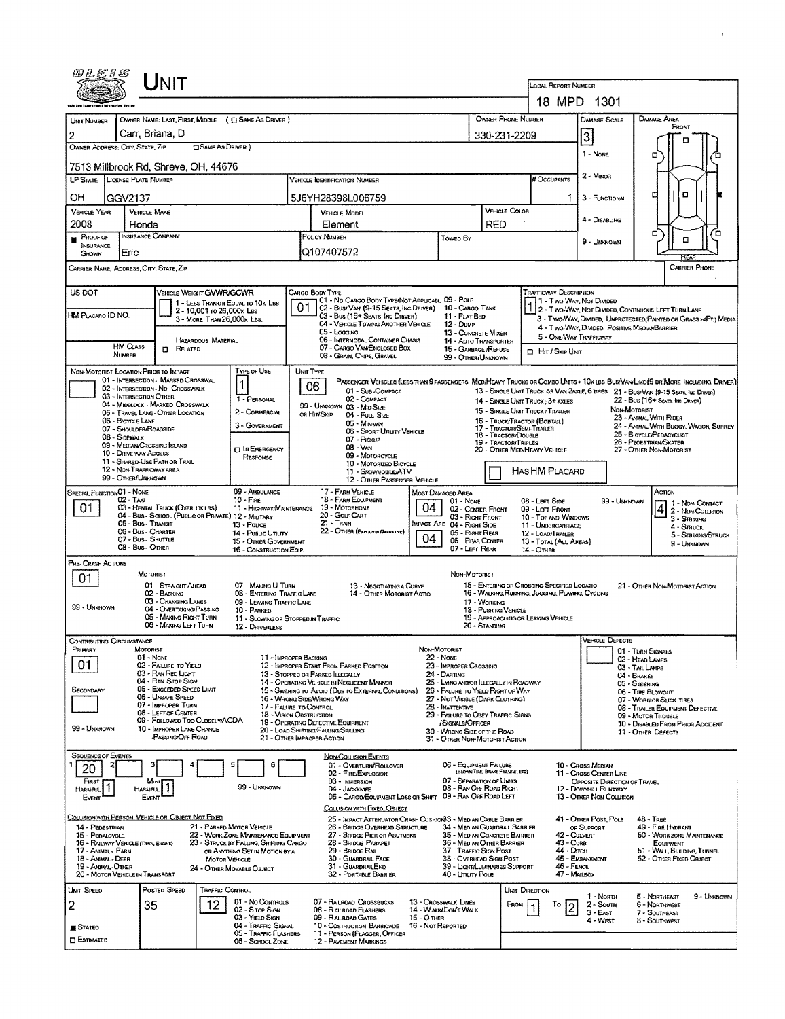| <i>@LE1S</i>                                                                                              |                                                |                                                                          |                             |                                                                                |                                                                            |                                                                                                           |                                                                                                                               |                                                                                                                            |                                                                                      |                                  |                              | <b>LOCAL REPORT NUMBER</b>                                                                      |                                                                                                                  |                                                                |                                                       |                                            |  |  |
|-----------------------------------------------------------------------------------------------------------|------------------------------------------------|--------------------------------------------------------------------------|-----------------------------|--------------------------------------------------------------------------------|----------------------------------------------------------------------------|-----------------------------------------------------------------------------------------------------------|-------------------------------------------------------------------------------------------------------------------------------|----------------------------------------------------------------------------------------------------------------------------|--------------------------------------------------------------------------------------|----------------------------------|------------------------------|-------------------------------------------------------------------------------------------------|------------------------------------------------------------------------------------------------------------------|----------------------------------------------------------------|-------------------------------------------------------|--------------------------------------------|--|--|
|                                                                                                           |                                                |                                                                          |                             |                                                                                |                                                                            |                                                                                                           |                                                                                                                               |                                                                                                                            |                                                                                      |                                  |                              |                                                                                                 |                                                                                                                  |                                                                |                                                       |                                            |  |  |
|                                                                                                           |                                                |                                                                          |                             |                                                                                |                                                                            |                                                                                                           |                                                                                                                               |                                                                                                                            |                                                                                      |                                  |                              |                                                                                                 | 18 MPD 1301                                                                                                      |                                                                |                                                       |                                            |  |  |
| <b>LINIT NUMBER</b>                                                                                       |                                                |                                                                          |                             | OWNER NAME: LAST, FIRST, MIDDLE ( C SAME AS DRIVER )                           |                                                                            |                                                                                                           |                                                                                                                               |                                                                                                                            |                                                                                      |                                  | Owner Phone Number           |                                                                                                 | <b>DAMAGE SCALE</b>                                                                                              | DAMAGE AREA                                                    | FRONT                                                 |                                            |  |  |
| 2<br>OWNER ADDRESS: CITY, STATE, ZIP                                                                      | Carr, Briana, D                                |                                                                          | <b>SAME AS DRIVER</b> )     |                                                                                |                                                                            |                                                                                                           |                                                                                                                               |                                                                                                                            |                                                                                      | 330-231-2209                     |                              |                                                                                                 | 3                                                                                                                | п                                                              |                                                       |                                            |  |  |
|                                                                                                           |                                                |                                                                          |                             |                                                                                |                                                                            |                                                                                                           |                                                                                                                               |                                                                                                                            |                                                                                      |                                  |                              |                                                                                                 | 1 - None                                                                                                         | о                                                              |                                                       |                                            |  |  |
| 7513 Millbrook Rd, Shreve, OH, 44676<br>LP STATE LICENSE PLATE NUMBER                                     |                                                |                                                                          |                             |                                                                                |                                                                            |                                                                                                           | <b>VEHICLE IDENTIFICATION NUMBER</b>                                                                                          |                                                                                                                            |                                                                                      |                                  |                              | # Occupants                                                                                     | $2 -$ Minor                                                                                                      |                                                                |                                                       |                                            |  |  |
| OН                                                                                                        | GGV2137                                        |                                                                          |                             |                                                                                |                                                                            |                                                                                                           | 5J6YH28398L006759                                                                                                             |                                                                                                                            |                                                                                      |                                  |                              | 1                                                                                               | 3 - FUNCTIONAL                                                                                                   | г                                                              | O                                                     |                                            |  |  |
| <b>VEHICLE YEAR</b>                                                                                       | <b>VEHICLE MAKE</b>                            |                                                                          |                             |                                                                                |                                                                            |                                                                                                           | VEHICLE MODEL                                                                                                                 |                                                                                                                            |                                                                                      |                                  | VEHICLE COLOR                |                                                                                                 |                                                                                                                  |                                                                |                                                       |                                            |  |  |
| 2008                                                                                                      | Honda                                          |                                                                          |                             |                                                                                |                                                                            | Element                                                                                                   |                                                                                                                               |                                                                                                                            |                                                                                      |                                  | RED                          |                                                                                                 | 4 - DISABLING                                                                                                    |                                                                |                                                       | п                                          |  |  |
| PROOF OF<br>INSURANCE<br>SHOWN                                                                            | <b>INSURANCE COMPANY</b><br>Erie               |                                                                          |                             |                                                                                |                                                                            | POUCY NUMBER<br><b>Towed By</b><br>Q107407572                                                             |                                                                                                                               |                                                                                                                            |                                                                                      |                                  |                              |                                                                                                 | 9 - UMONOWN                                                                                                      | о                                                              | □<br>REAR                                             |                                            |  |  |
| CARRIER NAME, ADDRESS, CITY, STATE, ZIP                                                                   |                                                |                                                                          |                             |                                                                                |                                                                            |                                                                                                           |                                                                                                                               |                                                                                                                            |                                                                                      |                                  |                              |                                                                                                 |                                                                                                                  |                                                                | <b>CARRIER PHONE</b>                                  |                                            |  |  |
| US DOT                                                                                                    |                                                | <b>VEHICLE WEIGHT GVWR/GCWR</b>                                          |                             |                                                                                |                                                                            | CARGO BODY TYPE                                                                                           |                                                                                                                               |                                                                                                                            |                                                                                      |                                  |                              | <b>TRAFFICWAY DESCRIPTION</b>                                                                   |                                                                                                                  |                                                                |                                                       |                                            |  |  |
|                                                                                                           |                                                |                                                                          | 2 - 10,001 to 26,000x Las   | 1 - LESS THAN OR EQUAL TO 10K LBS                                              |                                                                            |                                                                                                           | 01 - No CARGO BODY TYPE/NOT APPLICABL 09 - POLE<br>02 - Bus/ VAN (9-15 Seats, INC DRIVER) 10 - CARGO TANK                     |                                                                                                                            |                                                                                      |                                  |                              | 1 - Two-Way, Not Divided<br>2 - Two-Way, Not Divided, Continuous LEFT TURN LANE                 |                                                                                                                  |                                                                |                                                       |                                            |  |  |
| HM PLACARD ID NO.                                                                                         |                                                |                                                                          | 3 - MORE THAN 26,000 K LBS. |                                                                                |                                                                            | 05 - Locaing                                                                                              | 03 - Bus (16+ Seats, Inc Driver)<br>04 - VEHICLE TOWING ANOTHER VEHICLE                                                       |                                                                                                                            | 11 - FLAT BED<br>12 - DUMP                                                           |                                  |                              |                                                                                                 | 3 - Two-Way, Divideo, UNPROTECTEO(PAINTED OR GRASS >4FT.) MEDIA<br>4 - Two-Way, Divided, Positive Median Barrier |                                                                |                                                       |                                            |  |  |
|                                                                                                           | <b>HM Crass</b>                                |                                                                          | <b>HAZARDOUS MATERIAL</b>   |                                                                                |                                                                            |                                                                                                           | 06 - INTERMODAL CONTAINER CHASIS<br>07 - CARGO VAN/ENCLOSED BOX                                                               |                                                                                                                            | 13 - CONCRETE MIXER<br>14 - AUTO TRANSPORTER                                         |                                  |                              | 5 - ONE-WAY TRAFFICWAY                                                                          |                                                                                                                  |                                                                |                                                       |                                            |  |  |
|                                                                                                           | NUMBER                                         | <b>M</b> RELATED                                                         |                             |                                                                                |                                                                            |                                                                                                           | 08 - GRAIN, CHIPS, GRAVEL                                                                                                     |                                                                                                                            | 15 - GARBAGE /REFUSE<br>99 - OTHER/UNKNOWN                                           |                                  |                              | □ Hr / Sкip Unit                                                                                |                                                                                                                  |                                                                |                                                       |                                            |  |  |
| NON-MOTORIST LOCATION PRIOR TO IMPACT                                                                     |                                                | 01 - INTERSECTION - MARKED CROSSWAL                                      |                             | TYPE OF USE                                                                    | UNIT TYPE                                                                  |                                                                                                           | PASSENGER VEHICLES (LESS THAN 9 PASSENGERS MED/HEAVY TRUCKS OR COMBO UNITS > 10K LBS BUS/VAN/LIMO(9 OR MORE INCLUDING DRIVER) |                                                                                                                            |                                                                                      |                                  |                              |                                                                                                 |                                                                                                                  |                                                                |                                                       |                                            |  |  |
|                                                                                                           | 03 - INTERSECTION OTHER                        | 02 - INTERSECTION - ND CROSSWALK                                         |                             | $\mathbf 1$                                                                    |                                                                            | 06                                                                                                        | 01 - Sun COMPACT                                                                                                              |                                                                                                                            |                                                                                      |                                  |                              |                                                                                                 | 13 - SINGLE UNIT TRUCK OR VAN 2AXLE, 6 TIRES 21 - BUS/VAN (9-15 SEATS, INC DRIVER)                               |                                                                |                                                       |                                            |  |  |
|                                                                                                           |                                                | 04 - MIDBLOCK - MARKED CROSSWALK<br>05 - Travel Lane - Other Location    |                             | 1 - PERSONAL<br>2 - COMMERCIAL                                                 |                                                                            | OR HIT/SKIP                                                                                               | 02 - COMPACT<br>99 - Umakown 03 - Mio Size<br>04 - FULL SIZE                                                                  | 14 - SINGLE UNIT TRUCK ; 3+ AXLES<br>22 - Bus (16+ Spats, Inc. Driver)<br>NON-MOTORIST<br>15 - SINGLE UNIT TRUCK / TRAILER |                                                                                      |                                  |                              |                                                                                                 |                                                                                                                  |                                                                |                                                       |                                            |  |  |
|                                                                                                           | 06 - BICYCLE LANE<br>07 - SHOULDER/ROADSIDE    |                                                                          |                             | 3 - GOVERNMENT                                                                 |                                                                            |                                                                                                           | 05 - Minivan                                                                                                                  |                                                                                                                            |                                                                                      |                                  | 17 - TRACTOR/SEMI-TRAILER    | 16 - TRUCK/TRACTOR (BOBTAIL)                                                                    |                                                                                                                  | 23 - ANIMAL WITH RIDER                                         |                                                       | 24 - ANNAL WITH BUGGY, WAGON, SURREY       |  |  |
|                                                                                                           | 08 - Sidewalk                                  | 09 - MEDIAN CROSSING ISLAND                                              |                             |                                                                                |                                                                            | 06 - Sport Unuty Vehicle<br>18 - TRACTOR/DOUBLE<br>07 - Pickup<br>19 - TRACTOR/TRIPLES<br>08 - Van        |                                                                                                                               |                                                                                                                            |                                                                                      |                                  |                              | 25 - BICYCLE/PEDACYCLIST<br>26 - PEOESTRIAN/SKATER                                              |                                                                                                                  |                                                                |                                                       |                                            |  |  |
|                                                                                                           | 10 - DRIVE WAY ACCESS                          | 11 - SHARED-USE PATH OR TRAIL                                            |                             | <b>ET IN EMERGENCY</b><br><b>RESPONSE</b>                                      | 09 - MOTORCYCLE<br>10 - MOTORIZED BICYCLE                                  |                                                                                                           |                                                                                                                               |                                                                                                                            |                                                                                      |                                  | 20 - OTHER MED/HEAVY VEHICLE |                                                                                                 | 27 - OTHER NON-MOTORIST                                                                                          |                                                                |                                                       |                                            |  |  |
|                                                                                                           | 12 - NON-TRAFFICWAY AREA<br>99 - OTHER/UNKNOWN |                                                                          |                             |                                                                                |                                                                            |                                                                                                           | 11 - SNOWMOBILE/ATV<br>12 - OTHER PASSENGER VEHICLE                                                                           |                                                                                                                            |                                                                                      |                                  |                              | HASHM PLACARD                                                                                   |                                                                                                                  |                                                                |                                                       |                                            |  |  |
| SPECIAL FUNCTION 01 - NONE<br>09 - AMBULANCE                                                              |                                                |                                                                          |                             |                                                                                |                                                                            |                                                                                                           | 17 - FARM VEHICLE                                                                                                             |                                                                                                                            | MOST DAMAGED AREA                                                                    |                                  |                              |                                                                                                 |                                                                                                                  |                                                                | Астом                                                 |                                            |  |  |
| $02 - T$ AXI<br>$10 -$ FIRE<br>01<br>03 - RENTAL TRUCK (OVER 10K LBS)                                     |                                                |                                                                          |                             | 11 - HIGHWAY/MAINTENANCE                                                       | 18 - FARM EQUIPMENT<br>01 - NDNE<br>04<br>19 - Мотовноме<br>20 - GOLF CART |                                                                                                           |                                                                                                                               |                                                                                                                            |                                                                                      | 02 - CENTER FRONT                |                              | 08 - LEFT SIDE<br>09 - LEFT FRONT                                                               | 99 - Unknown                                                                                                     |                                                                |                                                       | 1 - Non-Contact<br>$ 4 $ 2 - Non-Collision |  |  |
| 04 - Bus - SCHOOL (PUBLIC OR PRIVATE) 12 - MILITARY<br>05 - Bus - Transit<br>13 - Pouce                   |                                                |                                                                          |                             |                                                                                |                                                                            | 03 - Right Front<br>$21 -$ TRAIN<br><b>IMPACT ARE 04 - RIGHT SIDE</b><br>22 - OTHER (EXPLAN IN NARRATIVE) |                                                                                                                               |                                                                                                                            |                                                                                      |                                  |                              | 10 - TOP AND WINDOWS<br>11 - UNDERCARRIAGE                                                      |                                                                                                                  |                                                                | 3 - STRIKING<br>4 - Struck                            |                                            |  |  |
| 06 - Bus - Charter<br>14 - Pusuc Ununy<br>07 - Bus - SHUTTLE<br>15 - OTHER GOVERNMENT<br>08 - Bus - OTHER |                                                |                                                                          |                             |                                                                                |                                                                            |                                                                                                           | 05 - Right Rear<br>04<br>06 - REAR CENTER<br>07 - LEFT REAR                                                                   |                                                                                                                            |                                                                                      |                                  |                              | 12 - LOAD/TRAILER<br>13 - TOTAL (ALL AREAS)                                                     |                                                                                                                  |                                                                | 9 - Unknown                                           | 5 - STRIKING/STRUCK                        |  |  |
| Pre- Crash Actions                                                                                        |                                                |                                                                          |                             | 16 - CONSTRUCTION EQ.P.                                                        |                                                                            |                                                                                                           |                                                                                                                               |                                                                                                                            |                                                                                      |                                  |                              | 14 - Отнев                                                                                      |                                                                                                                  |                                                                |                                                       |                                            |  |  |
| 01                                                                                                        | MOTORIST                                       |                                                                          |                             |                                                                                |                                                                            |                                                                                                           |                                                                                                                               |                                                                                                                            | NON-MOTORIST                                                                         |                                  |                              |                                                                                                 |                                                                                                                  |                                                                |                                                       |                                            |  |  |
|                                                                                                           |                                                | 01 - STRAGHT AHEAD<br>02 - BACKING                                       |                             | 07 - MAKING U-TURN<br><b>08 - ENTERING TRAFFIC LANE</b>                        |                                                                            |                                                                                                           | 13 - Negotiating a Curve<br>14 - OTHER MOTORIST ACTIO                                                                         |                                                                                                                            |                                                                                      |                                  |                              | 15 - ENTERING OR CROSSING SPECIFIED LOCATIO<br>16 - WALKING, RUMMING, JOGGING, PLAYING, CYCLING |                                                                                                                  | 21 - OTHER NON-MOTORIST ACTION                                 |                                                       |                                            |  |  |
| 99 - UNKNOWN                                                                                              |                                                | 03 - CHANGING LANES<br>04 - OVERTAKING/PASSING<br>05 - MAKING RIGHT TURN |                             | 09 - LEAVING TRAFFIC LANE<br>10 - PARKED                                       |                                                                            | 17 - WORKING<br>18 - Pushing Vehicle                                                                      |                                                                                                                               |                                                                                                                            |                                                                                      |                                  |                              |                                                                                                 |                                                                                                                  |                                                                |                                                       |                                            |  |  |
|                                                                                                           |                                                | 06 - MAKING LEFT TURN                                                    |                             | 11 - SLOWING OR STOPPED IN TRAFFIC<br>12 - DRIVERLESS                          |                                                                            |                                                                                                           |                                                                                                                               |                                                                                                                            |                                                                                      | 20 - Standing                    |                              | 19 - APPROACHING OR LEAVING VEHICLE                                                             |                                                                                                                  |                                                                |                                                       |                                            |  |  |
| CONTRIBUTING CIRCUMSTANCE<br>Primary                                                                      | MOTORIST                                       |                                                                          |                             |                                                                                |                                                                            |                                                                                                           |                                                                                                                               |                                                                                                                            | NON-MOTORIST                                                                         |                                  |                              |                                                                                                 | <b>VEHICLE DEFECTS</b>                                                                                           |                                                                |                                                       |                                            |  |  |
| 01                                                                                                        | 01 - None                                      | 02 - FAILURE TO YIELD                                                    |                             | 11 - IMPROPER BACKING                                                          |                                                                            |                                                                                                           | 12 - IMPROPER START FROM PARKED POSITION                                                                                      |                                                                                                                            | 22 - Nome<br>23 - IMPROPER CROSSING                                                  |                                  |                              |                                                                                                 |                                                                                                                  | 01 - TURN SIGNALS<br>02 - HEAD LAMPS                           |                                                       |                                            |  |  |
|                                                                                                           |                                                | 03 - RAN RED LIGHT<br>04 - RAN STOP SIGN                                 |                             |                                                                                |                                                                            | 13 - STOPPED OR PARKED ILLEGALLY                                                                          | 14 - OPERATING VEHICLE IN NEGLIGENT MANMER                                                                                    |                                                                                                                            | 24 - DARTING<br>25 - LYING AND/OR LLEGALLY IN ROADWAY                                |                                  |                              |                                                                                                 |                                                                                                                  | 03 - TAIL LAMPS<br>04 - BRAKES                                 |                                                       |                                            |  |  |
| SECONDARY                                                                                                 |                                                | 05 - Exceeded Speed Limit<br>06 - UNSAFE SPEED                           |                             |                                                                                |                                                                            | 16 - WRONG SIDE WRONG WAY                                                                                 | 15 - Swering to Avoid (Due to External Conditions)                                                                            |                                                                                                                            | 26 - FALURE TO YIELD RIGHT OF WAY                                                    |                                  |                              |                                                                                                 |                                                                                                                  | 05 - STEERING<br>06 - TIRE BLOWOUT<br>07 - WORN OR SLICK TIRES |                                                       |                                            |  |  |
|                                                                                                           |                                                | 07 - IMPROPER TURN<br>08 - LEFT OF CENTER                                |                             | 17 - FALURE TO CONTROL<br>18 - VISION OBSTRUCTION                              |                                                                            |                                                                                                           | 27 - NOT VISIBLE (DARK CLOTHING)<br>28 - INATTENTIVE<br>29 - FAILURE TO OBEY TRAFFIC SIGNS                                    |                                                                                                                            |                                                                                      |                                  |                              |                                                                                                 |                                                                                                                  | 08 - TRAILER EQUIPMENT DEFECTIVE<br>09 - MOTOR TROUBLE         |                                                       |                                            |  |  |
| 99 - Unknown                                                                                              |                                                | 09 - Followed Too Closelv/ACDA<br>10 - IMPROPER LANE CHANGE              |                             |                                                                                |                                                                            |                                                                                                           | 19 - OPERATING DEFECTIVE EQUIPMENT<br>/SIGNALS/OFFICER<br>20 - LOAD SHIFTING/FALUNG/SPILLING<br>30 - WRONG SIDE OF THE ROAD   |                                                                                                                            |                                                                                      |                                  |                              |                                                                                                 | 10 - DISABLED FROM PRIOR ACCIDENT<br>11 - OTHER DEFECTS                                                          |                                                                |                                                       |                                            |  |  |
|                                                                                                           |                                                | <b>/PASSING/OFF ROAD</b>                                                 |                             |                                                                                |                                                                            | 21 - OTHER IMPROPER ACTION                                                                                |                                                                                                                               |                                                                                                                            | 31 - OTHER NON-MOTORIST ACTION                                                       |                                  |                              |                                                                                                 |                                                                                                                  |                                                                |                                                       |                                            |  |  |
| <b>SEQUENCE OF EVENTS</b><br>2                                                                            |                                                | з                                                                        |                             | 5<br>6                                                                         |                                                                            |                                                                                                           | <b>NON-COLLISION EVENTS</b><br>01 - OVERTURN/ROLLOVER                                                                         |                                                                                                                            | 06 - EQUIPMENT FAILURE                                                               |                                  |                              |                                                                                                 | 10 - Cross Median                                                                                                |                                                                |                                                       |                                            |  |  |
| 20<br>FIRST                                                                                               |                                                | Most                                                                     |                             |                                                                                |                                                                            |                                                                                                           | 02 - FIRE/EXPLOSION<br>03 - IMMERSION                                                                                         |                                                                                                                            | 07 - SEPARATION OF UNITS                                                             | (BLOWN TIRE, BRAKE FAILURE, ETC) |                              |                                                                                                 | 11 - Cross CENTER LINE<br>OPPOSITE DIRECTION OF TRAVEL                                                           |                                                                |                                                       |                                            |  |  |
| <b>HARMFUL</b><br>Event                                                                                   | <b>HARMFUL</b><br>EVENT                        |                                                                          |                             | 99 - Unknown                                                                   |                                                                            |                                                                                                           | 04 - JACKKNIFE<br>05 - CARGO/EQUIPMENT LOSS OR SHIFT                                                                          |                                                                                                                            | 08 - RAN OFF ROAD RIGHT<br>09 - RAN OFF ROAD LEFT                                    |                                  |                              |                                                                                                 | 12 - DOWNHILL RUNAWAY<br><b>13 - OTHER NON-COLLISION</b>                                                         |                                                                |                                                       |                                            |  |  |
|                                                                                                           |                                                |                                                                          |                             |                                                                                |                                                                            |                                                                                                           | COLUSION WITH FIXED, OBJECT                                                                                                   |                                                                                                                            |                                                                                      |                                  |                              |                                                                                                 |                                                                                                                  |                                                                |                                                       |                                            |  |  |
| COLLISION WITH PERSON, VEHICLE OR OBJECT NOT FIXED<br>14 - PEDESTRIAN                                     |                                                |                                                                          |                             | 21 - PARKED MOTOR VEHICLE                                                      |                                                                            |                                                                                                           | 25 - IMPACT ATTENUATOR/CRASH CUSHION3 - MEDIAN CABLE BARRIER<br>26 - BRIDGE OVERHEAD STRUCTURE                                |                                                                                                                            | 34 - MEDIAN GUARDRAIL BARRIER                                                        |                                  |                              |                                                                                                 | 41 - OTHER POST, POLE<br>OR SUPPORT                                                                              | 48 - TREE                                                      | 49 - FIRE HYDRANT                                     |                                            |  |  |
| 15 - PEDALCYCLE<br>16 - RAILWAY VEHICLE (TRAIN, ENGINE)                                                   |                                                |                                                                          |                             | 22 - WORK ZONE MAINTENANCE EQUIPMENT<br>23 - STRUCK BY FALLING, SHIFTING CARGO |                                                                            |                                                                                                           | 27 - BRIDGE PIER OR ABUTMENT<br>28 - BRIDGE PARAPET                                                                           |                                                                                                                            | 35 - MEDIAN CONCRETE BARRIER<br>36 - MEDIAN OTHER BARRIER                            |                                  |                              | 42 - CULVERT<br>43 - Cura<br>44 - Олсн                                                          |                                                                                                                  |                                                                | 50 - WORK ZONE MAINTENANCE<br>EQUIPMENT               |                                            |  |  |
| 17 - Andmal - Farm<br>18 - Annan - Deer<br>19 - Animal - Other                                            |                                                |                                                                          | <b>MOTOR VEHICLE</b>        | OR ANYTHING SET IN MOTION BY A                                                 |                                                                            |                                                                                                           | 29 - BRIDGE RAIL<br>30 - GUARDRAIL FACE<br>31 - GUARDRALEND                                                                   |                                                                                                                            | 37 - TRAFFIC SIGN POST<br>38 - Overhead Sign Post<br>39 - Lightril Uminaries Support |                                  |                              | 46 - FENCE                                                                                      | 45 - EMBANKMENT                                                                                                  |                                                                | 51 - WALL BUILDING, TUNNEL<br>52 - Other Fixed Object |                                            |  |  |
| 20 - MOTOR VEHICLE IN TRANSPORT                                                                           |                                                |                                                                          |                             | 24 - OTHER MOVABLE OBJECT                                                      |                                                                            |                                                                                                           | 32 - PORTABLE BARRIER                                                                                                         |                                                                                                                            | 40 - Unury Pole                                                                      |                                  |                              | 47 - Malbox                                                                                     |                                                                                                                  |                                                                |                                                       |                                            |  |  |
| UNIT SPEED                                                                                                |                                                | Posted Speed                                                             | <b>TRAFFIC CONTROL</b>      |                                                                                |                                                                            |                                                                                                           |                                                                                                                               |                                                                                                                            |                                                                                      |                                  | UNIT DIRECTION               |                                                                                                 | 1 - North                                                                                                        | 5 - NORTHEAST                                                  |                                                       | 9 - Unknown                                |  |  |
| 2                                                                                                         | 35                                             |                                                                          | 12                          | 01 - No Controls<br>02 - S TOP SIGN<br>03 - YIELD SIGN                         |                                                                            |                                                                                                           | 07 - RAILROAD CROSSBUCKS<br>08 - RALROAD FLASHERS                                                                             | 15 - O THER                                                                                                                | 13 - CROSSWALK LINES<br>14 - WALKIDONT WALK                                          |                                  | FROM                         | 10                                                                                              | 2 - South<br>$3 - East$                                                                                          | <b>6 - NORTHWEST</b><br>7 - SOUTHEAST                          |                                                       |                                            |  |  |
| <b>STATED</b>                                                                                             |                                                |                                                                          |                             | 04 - TRAFFIC SIGNAL<br>05 - TRAFFIC FLASHERS                                   |                                                                            |                                                                                                           | 09 - RALROAD GATES<br>10 - COSTRUCTION BARRICADE<br>11 - PERSON (FLAGGER, OFFICER                                             | 16 - Not Reported                                                                                                          |                                                                                      |                                  |                              |                                                                                                 | 4 - West                                                                                                         | 8 - Southwest                                                  |                                                       |                                            |  |  |
| $\square$ Estmated                                                                                        |                                                |                                                                          |                             | 06 - SCHOOL ZONE                                                               |                                                                            |                                                                                                           | 12 - PAVEMENT MARKINGS                                                                                                        |                                                                                                                            |                                                                                      |                                  |                              |                                                                                                 |                                                                                                                  |                                                                |                                                       |                                            |  |  |

 $\sim$   $\sim$